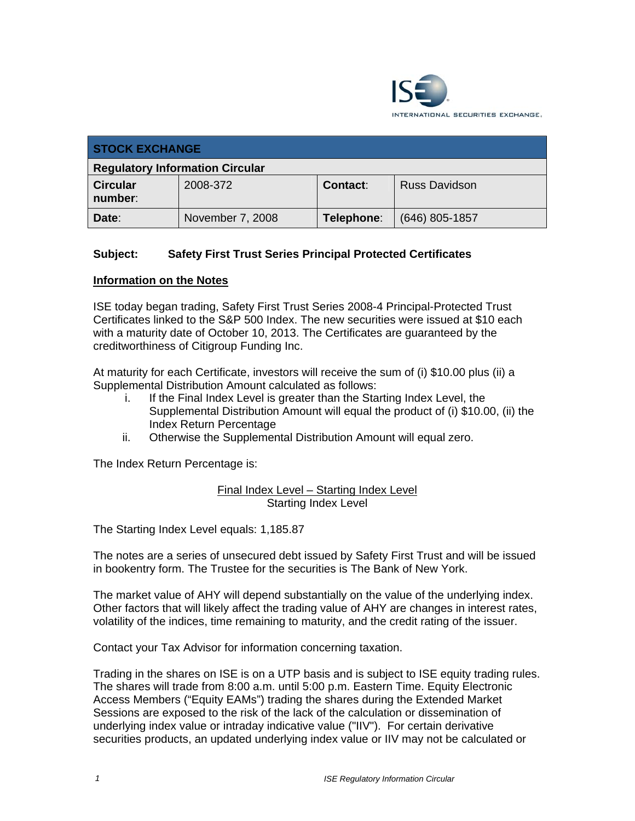

| <b>STOCK EXCHANGE</b>                  |                  |                 |                      |  |  |
|----------------------------------------|------------------|-----------------|----------------------|--|--|
| <b>Regulatory Information Circular</b> |                  |                 |                      |  |  |
| <b>Circular</b><br>number:             | 2008-372         | <b>Contact:</b> | <b>Russ Davidson</b> |  |  |
| Date:                                  | November 7, 2008 | Telephone:      | $(646)$ 805-1857     |  |  |

## **Subject: Safety First Trust Series Principal Protected Certificates**

## **Information on the Notes**

ISE today began trading, Safety First Trust Series 2008-4 Principal-Protected Trust Certificates linked to the S&P 500 Index. The new securities were issued at \$10 each with a maturity date of October 10, 2013. The Certificates are guaranteed by the creditworthiness of Citigroup Funding Inc.

At maturity for each Certificate, investors will receive the sum of (i) \$10.00 plus (ii) a Supplemental Distribution Amount calculated as follows:

- i. If the Final Index Level is greater than the Starting Index Level, the Supplemental Distribution Amount will equal the product of (i) \$10.00, (ii) the Index Return Percentage
- ii. Otherwise the Supplemental Distribution Amount will equal zero.

The Index Return Percentage is:

Final Index Level – Starting Index Level Starting Index Level

The Starting Index Level equals: 1,185.87

The notes are a series of unsecured debt issued by Safety First Trust and will be issued in bookentry form. The Trustee for the securities is The Bank of New York.

The market value of AHY will depend substantially on the value of the underlying index. Other factors that will likely affect the trading value of AHY are changes in interest rates, volatility of the indices, time remaining to maturity, and the credit rating of the issuer.

Contact your Tax Advisor for information concerning taxation.

Trading in the shares on ISE is on a UTP basis and is subject to ISE equity trading rules. The shares will trade from 8:00 a.m. until 5:00 p.m. Eastern Time. Equity Electronic Access Members ("Equity EAMs") trading the shares during the Extended Market Sessions are exposed to the risk of the lack of the calculation or dissemination of underlying index value or intraday indicative value ("IIV"). For certain derivative securities products, an updated underlying index value or IIV may not be calculated or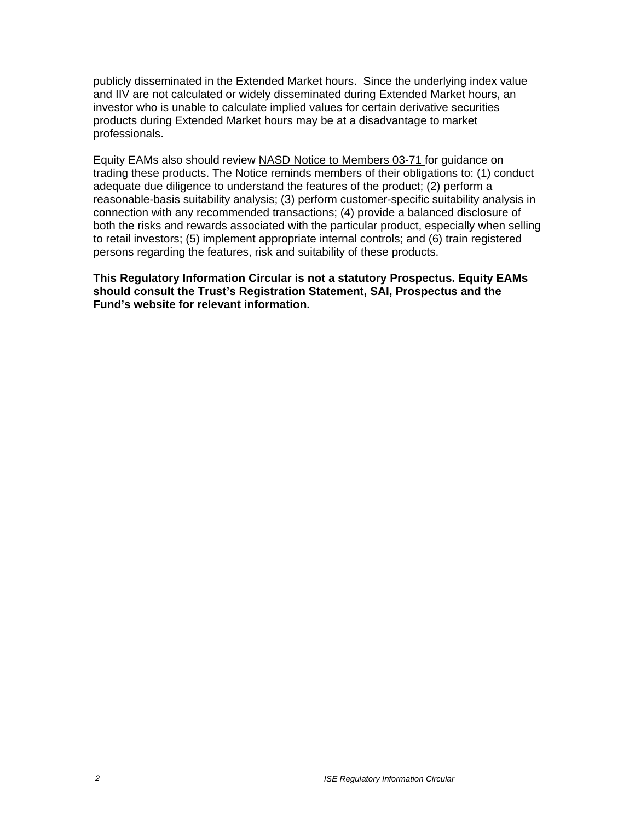publicly disseminated in the Extended Market hours. Since the underlying index value and IIV are not calculated or widely disseminated during Extended Market hours, an investor who is unable to calculate implied values for certain derivative securities products during Extended Market hours may be at a disadvantage to market professionals.

Equity EAMs also should review NASD Notice to Members 03-71 for guidance on trading these products. The Notice reminds members of their obligations to: (1) conduct adequate due diligence to understand the features of the product; (2) perform a reasonable-basis suitability analysis; (3) perform customer-specific suitability analysis in connection with any recommended transactions; (4) provide a balanced disclosure of both the risks and rewards associated with the particular product, especially when selling to retail investors; (5) implement appropriate internal controls; and (6) train registered persons regarding the features, risk and suitability of these products.

**This Regulatory Information Circular is not a statutory Prospectus. Equity EAMs should consult the Trust's Registration Statement, SAI, Prospectus and the Fund's website for relevant information.**